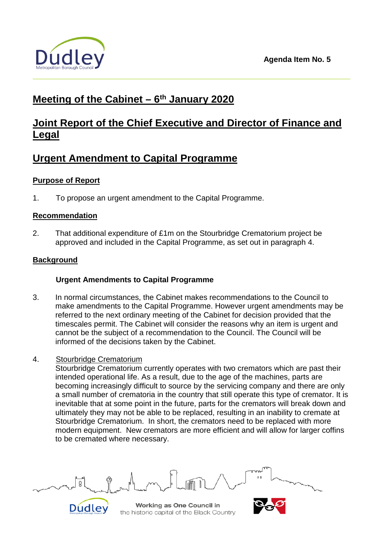

# **Meeting of the Cabinet – 6th January 2020**

## **Joint Report of the Chief Executive and Director of Finance and Legal**

# **Urgent Amendment to Capital Programme**

### **Purpose of Report**

1. To propose an urgent amendment to the Capital Programme.

### **Recommendation**

2. That additional expenditure of £1m on the Stourbridge Crematorium project be approved and included in the Capital Programme, as set out in paragraph 4.

### **Background**

## **Urgent Amendments to Capital Programme**

- 3. In normal circumstances, the Cabinet makes recommendations to the Council to make amendments to the Capital Programme. However urgent amendments may be referred to the next ordinary meeting of the Cabinet for decision provided that the timescales permit. The Cabinet will consider the reasons why an item is urgent and cannot be the subject of a recommendation to the Council. The Council will be informed of the decisions taken by the Cabinet.
- 4. Stourbridge Crematorium

Stourbridge Crematorium currently operates with two cremators which are past their intended operational life. As a result, due to the age of the machines, parts are becoming increasingly difficult to source by the servicing company and there are only a small number of crematoria in the country that still operate this type of cremator. It is inevitable that at some point in the future, parts for the cremators will break down and ultimately they may not be able to be replaced, resulting in an inability to cremate at Stourbridge Crematorium. In short, the cremators need to be replaced with more modern equipment. New cremators are more efficient and will allow for larger coffins to be cremated where necessary.

Working as One Council in Dudley the historic capital of the Black Country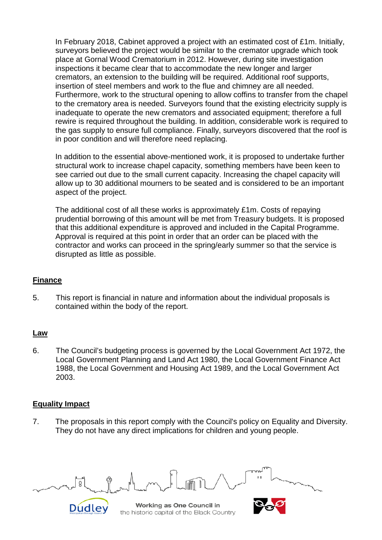In February 2018, Cabinet approved a project with an estimated cost of £1m. Initially, surveyors believed the project would be similar to the cremator upgrade which took place at Gornal Wood Crematorium in 2012. However, during site investigation inspections it became clear that to accommodate the new longer and larger cremators, an extension to the building will be required. Additional roof supports, insertion of steel members and work to the flue and chimney are all needed. Furthermore, work to the structural opening to allow coffins to transfer from the chapel to the crematory area is needed. Surveyors found that the existing electricity supply is inadequate to operate the new cremators and associated equipment; therefore a full rewire is required throughout the building. In addition, considerable work is required to the gas supply to ensure full compliance. Finally, surveyors discovered that the roof is in poor condition and will therefore need replacing.

In addition to the essential above-mentioned work, it is proposed to undertake further structural work to increase chapel capacity, something members have been keen to see carried out due to the small current capacity. Increasing the chapel capacity will allow up to 30 additional mourners to be seated and is considered to be an important aspect of the project.

The additional cost of all these works is approximately £1m. Costs of repaying prudential borrowing of this amount will be met from Treasury budgets. It is proposed that this additional expenditure is approved and included in the Capital Programme. Approval is required at this point in order that an order can be placed with the contractor and works can proceed in the spring/early summer so that the service is disrupted as little as possible.

### **Finance**

5. This report is financial in nature and information about the individual proposals is contained within the body of the report.

### **Law**

6. The Council's budgeting process is governed by the Local Government Act 1972, the Local Government Planning and Land Act 1980, the Local Government Finance Act 1988, the Local Government and Housing Act 1989, and the Local Government Act 2003.

### **Equality Impact**

7. The proposals in this report comply with the Council's policy on Equality and Diversity. They do not have any direct implications for children and young people.

Working as One Council in Dudley the historic capital of the Black Country